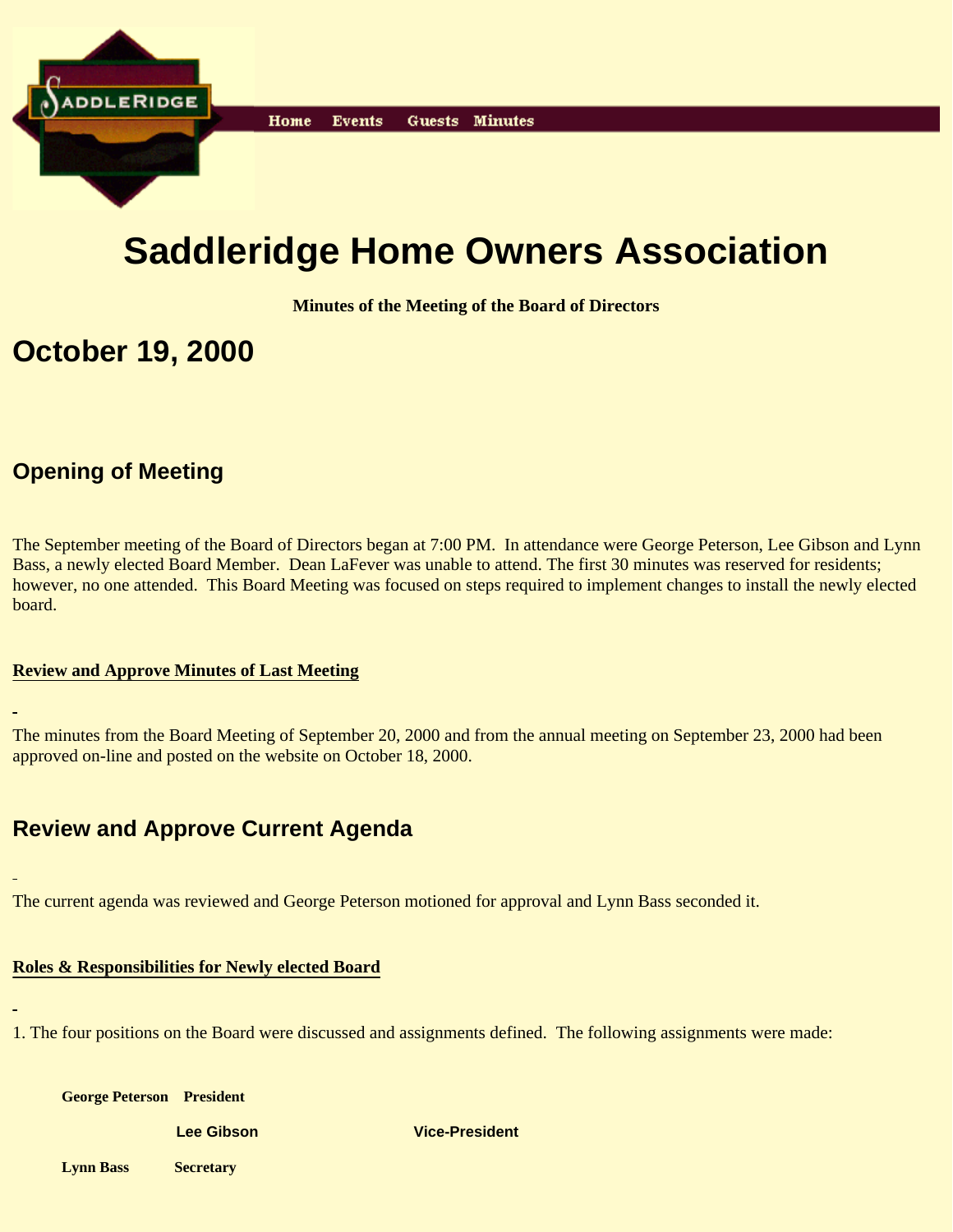

# **Saddleridge Home Owners Association**

**Minutes of the Meeting of the Board of Directors**

## **October 19, 2000**

## **Opening of Meeting**

The September meeting of the Board of Directors began at 7:00 PM. In attendance were George Peterson, Lee Gibson and Lynn Bass, a newly elected Board Member. Dean LaFever was unable to attend. The first 30 minutes was reserved for residents; however, no one attended. This Board Meeting was focused on steps required to implement changes to install the newly elected board.

#### **Review and Approve Minutes of Last Meeting**

The minutes from the Board Meeting of September 20, 2000 and from the annual meeting on September 23, 2000 had been approved on-line and posted on the website on October 18, 2000.

## **Review and Approve Current Agenda**

The current agenda was reviewed and George Peterson motioned for approval and Lynn Bass seconded it.

#### **Roles & Responsibilities for Newly elected Board**

1. The four positions on the Board were discussed and assignments defined. The following assignments were made:

| <b>George Peterson President</b> |                   |                       |
|----------------------------------|-------------------|-----------------------|
|                                  | <b>Lee Gibson</b> | <b>Vice-President</b> |
| <b>Lynn Bass</b>                 | <b>Secretary</b>  |                       |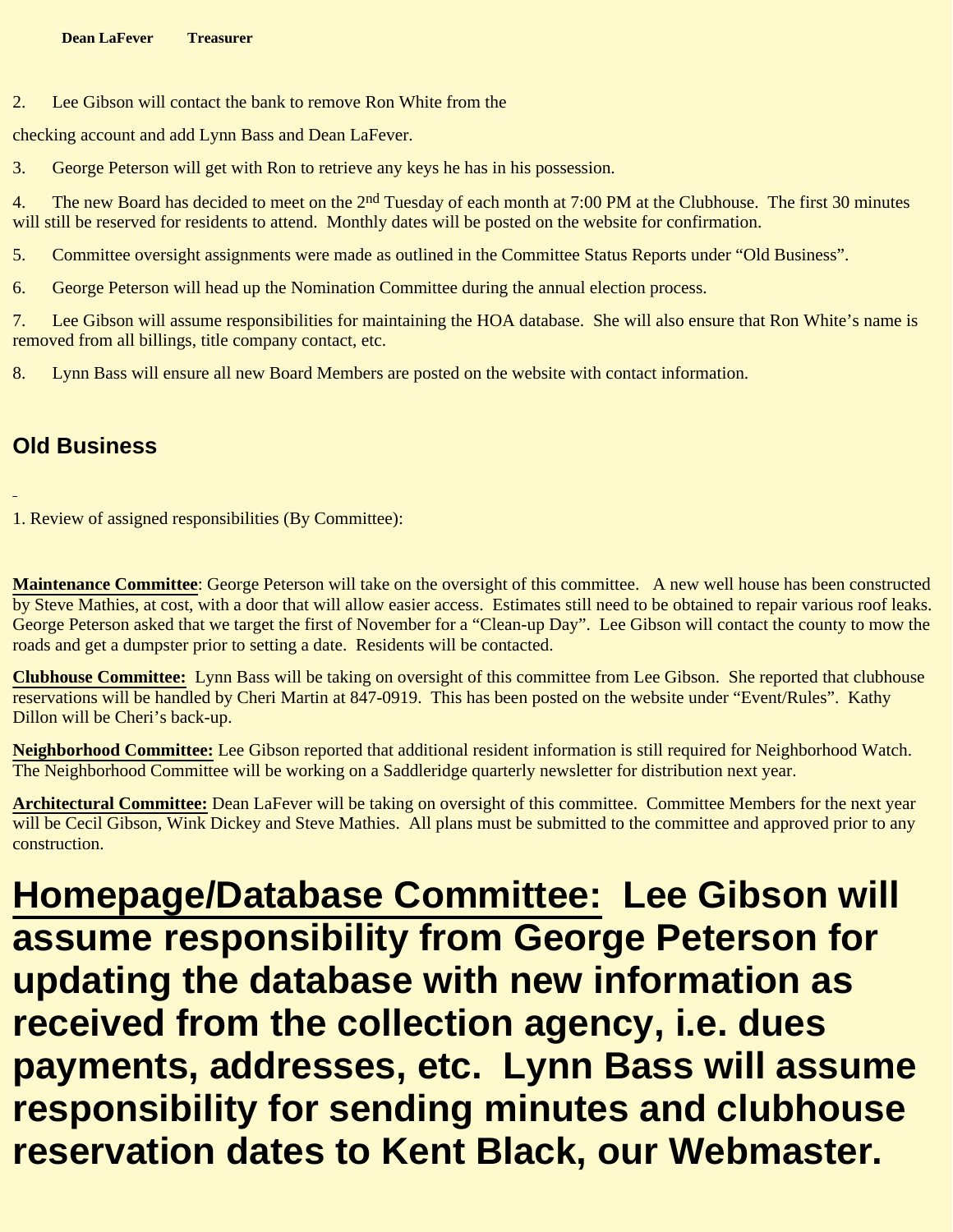2. Lee Gibson will contact the bank to remove Ron White from the

checking account and add Lynn Bass and Dean LaFever.

3. George Peterson will get with Ron to retrieve any keys he has in his possession.

4. The new Board has decided to meet on the 2<sup>nd</sup> Tuesday of each month at 7:00 PM at the Clubhouse. The first 30 minutes will still be reserved for residents to attend. Monthly dates will be posted on the website for confirmation.

5. Committee oversight assignments were made as outlined in the Committee Status Reports under "Old Business".

6. George Peterson will head up the Nomination Committee during the annual election process.

7. Lee Gibson will assume responsibilities for maintaining the HOA database. She will also ensure that Ron White's name is removed from all billings, title company contact, etc.

8. Lynn Bass will ensure all new Board Members are posted on the website with contact information.

## **Old Business**

1. Review of assigned responsibilities (By Committee):

**Maintenance Committee**: George Peterson will take on the oversight of this committee. A new well house has been constructed by Steve Mathies, at cost, with a door that will allow easier access. Estimates still need to be obtained to repair various roof leaks. George Peterson asked that we target the first of November for a "Clean-up Day". Lee Gibson will contact the county to mow the roads and get a dumpster prior to setting a date. Residents will be contacted.

**Clubhouse Committee:** Lynn Bass will be taking on oversight of this committee from Lee Gibson. She reported that clubhouse reservations will be handled by Cheri Martin at 847-0919. This has been posted on the website under "Event/Rules". Kathy Dillon will be Cheri's back-up.

**Neighborhood Committee:** Lee Gibson reported that additional resident information is still required for Neighborhood Watch. The Neighborhood Committee will be working on a Saddleridge quarterly newsletter for distribution next year.

**Architectural Committee:** Dean LaFever will be taking on oversight of this committee. Committee Members for the next year will be Cecil Gibson, Wink Dickey and Steve Mathies. All plans must be submitted to the committee and approved prior to any construction.

**Homepage/Database Committee: Lee Gibson will assume responsibility from George Peterson for updating the database with new information as received from the collection agency, i.e. dues payments, addresses, etc. Lynn Bass will assume responsibility for sending minutes and clubhouse reservation dates to Kent Black, our Webmaster.**